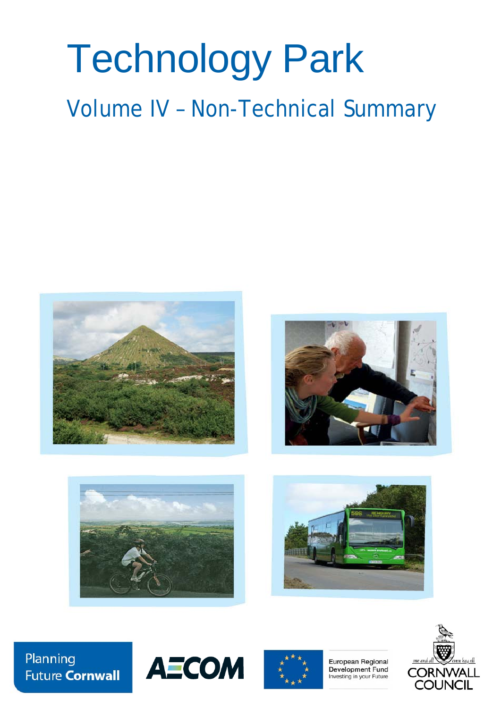# Technology Park

Volume IV – Non-Technical Summary









Planning **Future Cornwall** 





European Regional Development Fund Investing in your Future

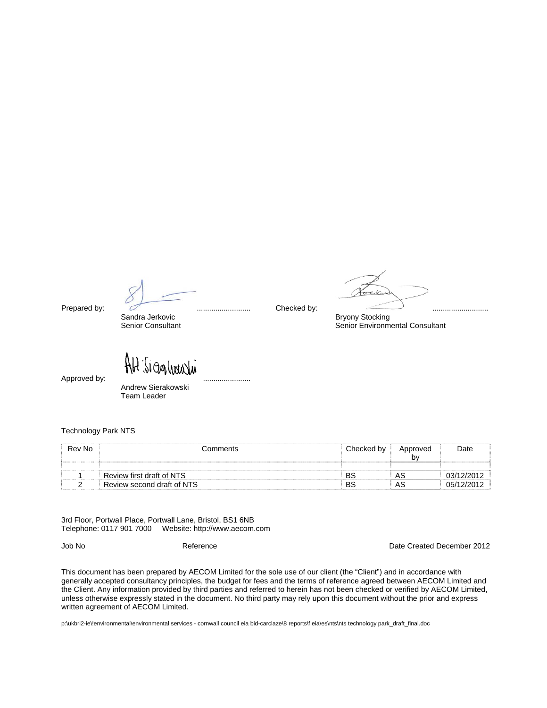Sandra Jerkovic **Bryony Stocking**<br>
Senior Consultant 
Bryony Stocking<br>
Senior Environm

SIOGALINAVIA Approved by: .......................

 Andrew Sierakowski Team Leader

Technology Park NTS

| Rev No | Comments                   | ⊧ Checked b∨ ' | Approved | Date       |
|--------|----------------------------|----------------|----------|------------|
|        |                            |                | b٧       |            |
|        |                            |                |          |            |
|        | Review first draft of NTS  | BS             | AS       |            |
|        | Review second draft of NTS | BS             | AS       | 05/12/2012 |

3rd Floor, Portwall Place, Portwall Lane, Bristol, BS1 6NB Telephone: 0117 901 7000 Website: http://www.aecom.com

Job No Reference Date Created December 2012

This document has been prepared by AECOM Limited for the sole use of our client (the "Client") and in accordance with generally accepted consultancy principles, the budget for fees and the terms of reference agreed between AECOM Limited and the Client. Any information provided by third parties and referred to herein has not been checked or verified by AECOM Limited, unless otherwise expressly stated in the document. No third party may rely upon this document without the prior and express written agreement of AECOM Limited.

p:\ukbri2-ie\!environmental\environmental services - cornwall council eia bid-carclaze\8 reports\f eia\es\nts\nts technology park\_draft\_final.doc

Senior Environmental Consultant

Prepared by: .......................... Checked by: ...........................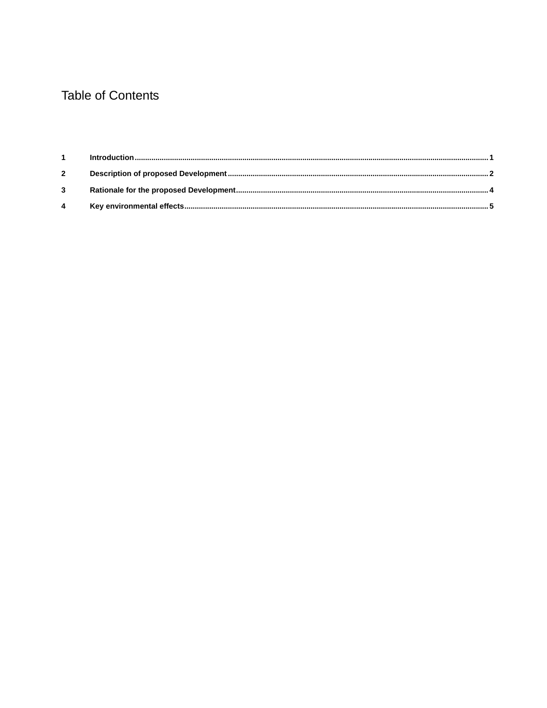# **Table of Contents**

| $\overline{2}$ |  |
|----------------|--|
| $\mathbf{3}$   |  |
| $\overline{4}$ |  |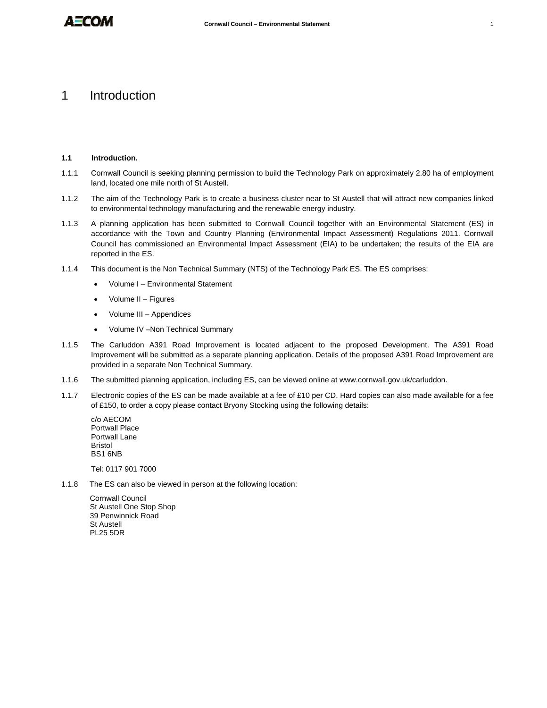## 1 Introduction

#### **1.1 Introduction.**

- 1.1.1 Cornwall Council is seeking planning permission to build the Technology Park on approximately 2.80 ha of employment land, located one mile north of St Austell.
- 1.1.2 The aim of the Technology Park is to create a business cluster near to St Austell that will attract new companies linked to environmental technology manufacturing and the renewable energy industry.
- 1.1.3 A planning application has been submitted to Cornwall Council together with an Environmental Statement (ES) in accordance with the Town and Country Planning (Environmental Impact Assessment) Regulations 2011. Cornwall Council has commissioned an Environmental Impact Assessment (EIA) to be undertaken; the results of the EIA are reported in the ES.
- 1.1.4 This document is the Non Technical Summary (NTS) of the Technology Park ES. The ES comprises:
	- Volume I Environmental Statement
	- Volume II Figures
	- Volume III Appendices
	- Volume IV –Non Technical Summary
- 1.1.5 The Carluddon A391 Road Improvement is located adjacent to the proposed Development. The A391 Road Improvement will be submitted as a separate planning application. Details of the proposed A391 Road Improvement are provided in a separate Non Technical Summary.
- 1.1.6 The submitted planning application, including ES, can be viewed online at www.cornwall.gov.uk/carluddon.
- 1.1.7 Electronic copies of the ES can be made available at a fee of £10 per CD. Hard copies can also made available for a fee of £150, to order a copy please contact Bryony Stocking using the following details:

c/o AECOM Portwall Place Portwall Lane Bristol BS1 6NB

Tel: 0117 901 7000

1.1.8 The ES can also be viewed in person at the following location:

Cornwall Council St Austell One Stop Shop 39 Penwinnick Road St Austell PL25 5DR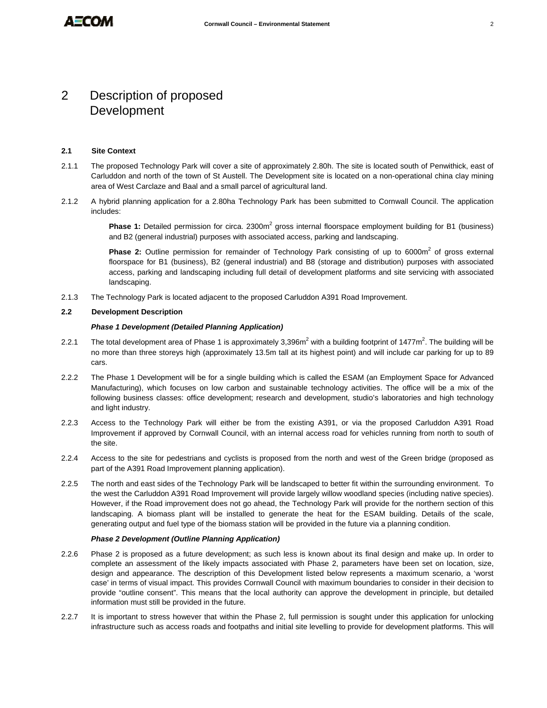## 2 Description of proposed Development

#### **2.1 Site Context**

- 2.1.1 The proposed Technology Park will cover a site of approximately 2.80h. The site is located south of Penwithick, east of Carluddon and north of the town of St Austell. The Development site is located on a non-operational china clay mining area of West Carclaze and Baal and a small parcel of agricultural land.
- 2.1.2 A hybrid planning application for a 2.80ha Technology Park has been submitted to Cornwall Council. The application includes:

Phase 1: Detailed permission for circa. 2300m<sup>2</sup> gross internal floorspace employment building for B1 (business) and B2 (general industrial) purposes with associated access, parking and landscaping.

Phase 2: Outline permission for remainder of Technology Park consisting of up to 6000m<sup>2</sup> of gross external floorspace for B1 (business), B2 (general industrial) and B8 (storage and distribution) purposes with associated access, parking and landscaping including full detail of development platforms and site servicing with associated landscaping.

2.1.3 The Technology Park is located adjacent to the proposed Carluddon A391 Road Improvement.

#### **2.2 Development Description**

#### *Phase 1 Development (Detailed Planning Application)*

- 2.2.1 The total development area of Phase 1 is approximately 3,396m<sup>2</sup> with a building footprint of 1477m<sup>2</sup>. The building will be no more than three storeys high (approximately 13.5m tall at its highest point) and will include car parking for up to 89 cars.
- 2.2.2 The Phase 1 Development will be for a single building which is called the ESAM (an Employment Space for Advanced Manufacturing), which focuses on low carbon and sustainable technology activities. The office will be a mix of the following business classes: office development; research and development, studio's laboratories and high technology and light industry.
- 2.2.3 Access to the Technology Park will either be from the existing A391, or via the proposed Carluddon A391 Road Improvement if approved by Cornwall Council, with an internal access road for vehicles running from north to south of the site.
- 2.2.4 Access to the site for pedestrians and cyclists is proposed from the north and west of the Green bridge (proposed as part of the A391 Road Improvement planning application).
- 2.2.5 The north and east sides of the Technology Park will be landscaped to better fit within the surrounding environment. To the west the Carluddon A391 Road Improvement will provide largely willow woodland species (including native species). However, if the Road improvement does not go ahead, the Technology Park will provide for the northern section of this landscaping. A biomass plant will be installed to generate the heat for the ESAM building. Details of the scale, generating output and fuel type of the biomass station will be provided in the future via a planning condition.

#### *Phase 2 Development (Outline Planning Application)*

- 2.2.6 Phase 2 is proposed as a future development; as such less is known about its final design and make up. In order to complete an assessment of the likely impacts associated with Phase 2, parameters have been set on location, size, design and appearance. The description of this Development listed below represents a maximum scenario, a 'worst case' in terms of visual impact. This provides Cornwall Council with maximum boundaries to consider in their decision to provide "outline consent". This means that the local authority can approve the development in principle, but detailed information must still be provided in the future.
- 2.2.7 It is important to stress however that within the Phase 2, full permission is sought under this application for unlocking infrastructure such as access roads and footpaths and initial site levelling to provide for development platforms. This will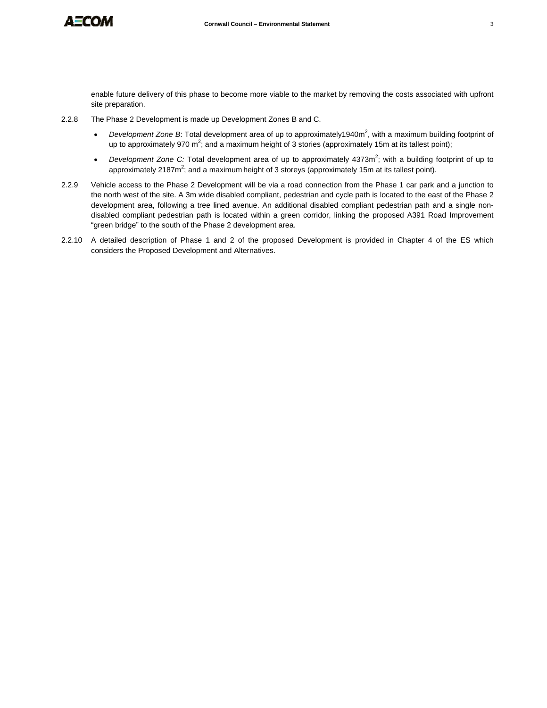

enable future delivery of this phase to become more viable to the market by removing the costs associated with upfront site preparation.

- 2.2.8 The Phase 2 Development is made up Development Zones B and C.
	- Development Zone B: Total development area of up to approximately1940m<sup>2</sup>, with a maximum building footprint of up to approximately 970 m<sup>2</sup>; and a maximum height of 3 stories (approximately 15m at its tallest point);
	- Development Zone C: Total development area of up to approximately 4373m<sup>2</sup>; with a building footprint of up to approximately 2187m<sup>2</sup>; and a maximum height of 3 storeys (approximately 15m at its tallest point).
- 2.2.9 Vehicle access to the Phase 2 Development will be via a road connection from the Phase 1 car park and a junction to the north west of the site. A 3m wide disabled compliant, pedestrian and cycle path is located to the east of the Phase 2 development area, following a tree lined avenue. An additional disabled compliant pedestrian path and a single nondisabled compliant pedestrian path is located within a green corridor, linking the proposed A391 Road Improvement "green bridge" to the south of the Phase 2 development area.
- 2.2.10 A detailed description of Phase 1 and 2 of the proposed Development is provided in Chapter 4 of the ES which considers the Proposed Development and Alternatives.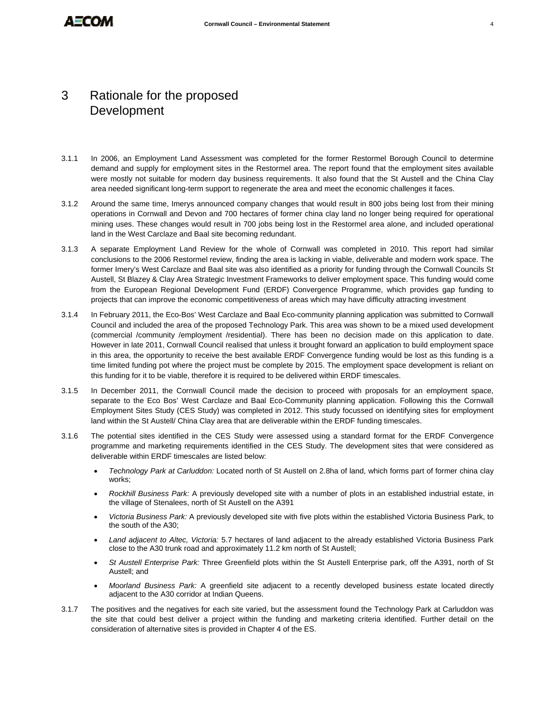## 3 Rationale for the proposed **Development**

- 3.1.1 In 2006, an Employment Land Assessment was completed for the former Restormel Borough Council to determine demand and supply for employment sites in the Restormel area. The report found that the employment sites available were mostly not suitable for modern day business requirements. It also found that the St Austell and the China Clay area needed significant long-term support to regenerate the area and meet the economic challenges it faces.
- 3.1.2 Around the same time, Imerys announced company changes that would result in 800 jobs being lost from their mining operations in Cornwall and Devon and 700 hectares of former china clay land no longer being required for operational mining uses. These changes would result in 700 jobs being lost in the Restormel area alone, and included operational land in the West Carclaze and Baal site becoming redundant.
- 3.1.3 A separate Employment Land Review for the whole of Cornwall was completed in 2010. This report had similar conclusions to the 2006 Restormel review, finding the area is lacking in viable, deliverable and modern work space. The former Imery's West Carclaze and Baal site was also identified as a priority for funding through the Cornwall Councils St Austell, St Blazey & Clay Area Strategic Investment Frameworks to deliver employment space. This funding would come from the European Regional Development Fund (ERDF) Convergence Programme, which provides gap funding to projects that can improve the economic competitiveness of areas which may have difficulty attracting investment
- 3.1.4 In February 2011, the Eco-Bos' West Carclaze and Baal Eco-community planning application was submitted to Cornwall Council and included the area of the proposed Technology Park. This area was shown to be a mixed used development (commercial /community /employment /residential). There has been no decision made on this application to date. However in late 2011, Cornwall Council realised that unless it brought forward an application to build employment space in this area, the opportunity to receive the best available ERDF Convergence funding would be lost as this funding is a time limited funding pot where the project must be complete by 2015. The employment space development is reliant on this funding for it to be viable, therefore it is required to be delivered within ERDF timescales.
- 3.1.5 In December 2011, the Cornwall Council made the decision to proceed with proposals for an employment space, separate to the Eco Bos' West Carclaze and Baal Eco-Community planning application. Following this the Cornwall Employment Sites Study (CES Study) was completed in 2012. This study focussed on identifying sites for employment land within the St Austell/ China Clay area that are deliverable within the ERDF funding timescales.
- 3.1.6 The potential sites identified in the CES Study were assessed using a standard format for the ERDF Convergence programme and marketing requirements identified in the CES Study. The development sites that were considered as deliverable within ERDF timescales are listed below:
	- *Technology Park at Carluddon:* Located north of St Austell on 2.8ha of land, which forms part of former china clay works;
	- *Rockhill Business Park:* A previously developed site with a number of plots in an established industrial estate, in the village of Stenalees, north of St Austell on the A391
	- *Victoria Business Park:* A previously developed site with five plots within the established Victoria Business Park, to the south of the A30;
	- *Land adjacent to Altec, Victoria:* 5.7 hectares of land adjacent to the already established Victoria Business Park close to the A30 trunk road and approximately 11.2 km north of St Austell;
	- *St Austell Enterprise Park:* Three Greenfield plots within the St Austell Enterprise park, off the A391, north of St Austell; and
	- *Moorland Business Park:* A greenfield site adjacent to a recently developed business estate located directly adjacent to the A30 corridor at Indian Queens.
- 3.1.7 The positives and the negatives for each site varied, but the assessment found the Technology Park at Carluddon was the site that could best deliver a project within the funding and marketing criteria identified. Further detail on the consideration of alternative sites is provided in Chapter 4 of the ES.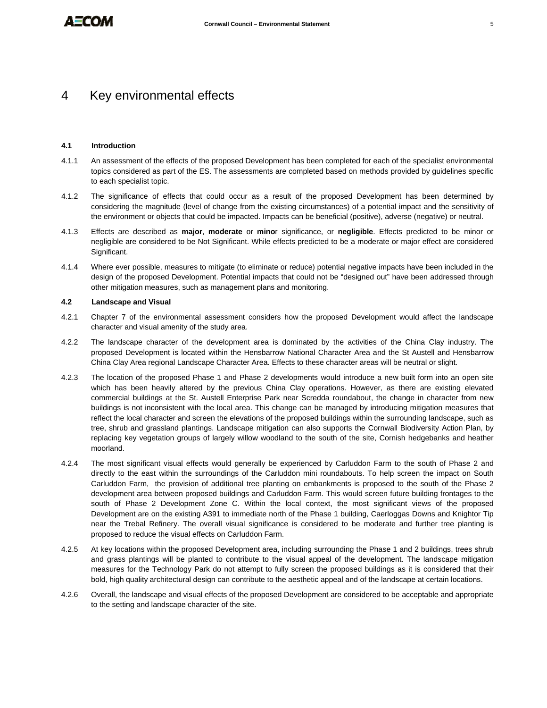### 4 Key environmental effects

#### **4.1 Introduction**

- 4.1.1 An assessment of the effects of the proposed Development has been completed for each of the specialist environmental topics considered as part of the ES. The assessments are completed based on methods provided by guidelines specific to each specialist topic.
- 4.1.2 The significance of effects that could occur as a result of the proposed Development has been determined by considering the magnitude (level of change from the existing circumstances) of a potential impact and the sensitivity of the environment or objects that could be impacted. Impacts can be beneficial (positive), adverse (negative) or neutral.
- 4.1.3 Effects are described as **major**, **moderate** or **mino**r significance, or **negligible**. Effects predicted to be minor or negligible are considered to be Not Significant. While effects predicted to be a moderate or major effect are considered Significant.
- 4.1.4 Where ever possible, measures to mitigate (to eliminate or reduce) potential negative impacts have been included in the design of the proposed Development. Potential impacts that could not be "designed out" have been addressed through other mitigation measures, such as management plans and monitoring.

#### **4.2 Landscape and Visual**

- 4.2.1 Chapter 7 of the environmental assessment considers how the proposed Development would affect the landscape character and visual amenity of the study area.
- 4.2.2 The landscape character of the development area is dominated by the activities of the China Clay industry. The proposed Development is located within the Hensbarrow National Character Area and the St Austell and Hensbarrow China Clay Area regional Landscape Character Area. Effects to these character areas will be neutral or slight.
- 4.2.3 The location of the proposed Phase 1 and Phase 2 developments would introduce a new built form into an open site which has been heavily altered by the previous China Clay operations. However, as there are existing elevated commercial buildings at the St. Austell Enterprise Park near Scredda roundabout, the change in character from new buildings is not inconsistent with the local area. This change can be managed by introducing mitigation measures that reflect the local character and screen the elevations of the proposed buildings within the surrounding landscape, such as tree, shrub and grassland plantings. Landscape mitigation can also supports the Cornwall Biodiversity Action Plan, by replacing key vegetation groups of largely willow woodland to the south of the site, Cornish hedgebanks and heather moorland.
- 4.2.4 The most significant visual effects would generally be experienced by Carluddon Farm to the south of Phase 2 and directly to the east within the surroundings of the Carluddon mini roundabouts. To help screen the impact on South Carluddon Farm, the provision of additional tree planting on embankments is proposed to the south of the Phase 2 development area between proposed buildings and Carluddon Farm. This would screen future building frontages to the south of Phase 2 Development Zone C. Within the local context, the most significant views of the proposed Development are on the existing A391 to immediate north of the Phase 1 building, Caerloggas Downs and Knightor Tip near the Trebal Refinery. The overall visual significance is considered to be moderate and further tree planting is proposed to reduce the visual effects on Carluddon Farm.
- 4.2.5 At key locations within the proposed Development area, including surrounding the Phase 1 and 2 buildings, trees shrub and grass plantings will be planted to contribute to the visual appeal of the development. The landscape mitigation measures for the Technology Park do not attempt to fully screen the proposed buildings as it is considered that their bold, high quality architectural design can contribute to the aesthetic appeal and of the landscape at certain locations.
- 4.2.6 Overall, the landscape and visual effects of the proposed Development are considered to be acceptable and appropriate to the setting and landscape character of the site.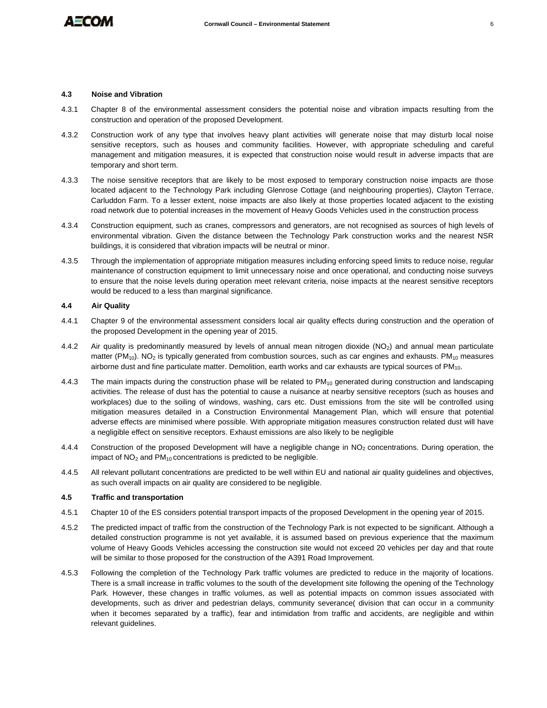

#### **4.3 Noise and Vibration**

- 4.3.1 Chapter 8 of the environmental assessment considers the potential noise and vibration impacts resulting from the construction and operation of the proposed Development.
- 4.3.2 Construction work of any type that involves heavy plant activities will generate noise that may disturb local noise sensitive receptors, such as houses and community facilities. However, with appropriate scheduling and careful management and mitigation measures, it is expected that construction noise would result in adverse impacts that are temporary and short term.
- 4.3.3 The noise sensitive receptors that are likely to be most exposed to temporary construction noise impacts are those located adjacent to the Technology Park including Glenrose Cottage (and neighbouring properties), Clayton Terrace, Carluddon Farm. To a lesser extent, noise impacts are also likely at those properties located adjacent to the existing road network due to potential increases in the movement of Heavy Goods Vehicles used in the construction process
- 4.3.4 Construction equipment, such as cranes, compressors and generators, are not recognised as sources of high levels of environmental vibration. Given the distance between the Technology Park construction works and the nearest NSR buildings, it is considered that vibration impacts will be neutral or minor.
- 4.3.5 Through the implementation of appropriate mitigation measures including enforcing speed limits to reduce noise, regular maintenance of construction equipment to limit unnecessary noise and once operational, and conducting noise surveys to ensure that the noise levels during operation meet relevant criteria, noise impacts at the nearest sensitive receptors would be reduced to a less than marginal significance.

#### **4.4 Air Quality**

- 4.4.1 Chapter 9 of the environmental assessment considers local air quality effects during construction and the operation of the proposed Development in the opening year of 2015.
- 4.4.2 Air quality is predominantly measured by levels of annual mean nitrogen dioxide (NO<sub>2</sub>) and annual mean particulate matter (PM<sub>10</sub>). NO<sub>2</sub> is typically generated from combustion sources, such as car engines and exhausts. PM<sub>10</sub> measures airborne dust and fine particulate matter. Demolition, earth works and car exhausts are typical sources of  $PM_{10}$ .
- 4.4.3 The main impacts during the construction phase will be related to  $PM_{10}$  generated during construction and landscaping activities. The release of dust has the potential to cause a nuisance at nearby sensitive receptors (such as houses and workplaces) due to the soiling of windows, washing, cars etc. Dust emissions from the site will be controlled using mitigation measures detailed in a Construction Environmental Management Plan, which will ensure that potential adverse effects are minimised where possible. With appropriate mitigation measures construction related dust will have a negligible effect on sensitive receptors. Exhaust emissions are also likely to be negligible
- 4.4.4 Construction of the proposed Development will have a negligible change in NO<sub>2</sub> concentrations. During operation, the impact of  $NO<sub>2</sub>$  and  $PM<sub>10</sub>$  concentrations is predicted to be negligible.
- 4.4.5 All relevant pollutant concentrations are predicted to be well within EU and national air quality guidelines and objectives, as such overall impacts on air quality are considered to be negligible.

#### **4.5 Traffic and transportation**

- 4.5.1 Chapter 10 of the ES considers potential transport impacts of the proposed Development in the opening year of 2015.
- 4.5.2 The predicted impact of traffic from the construction of the Technology Park is not expected to be significant. Although a detailed construction programme is not yet available, it is assumed based on previous experience that the maximum volume of Heavy Goods Vehicles accessing the construction site would not exceed 20 vehicles per day and that route will be similar to those proposed for the construction of the A391 Road Improvement.
- 4.5.3 Following the completion of the Technology Park traffic volumes are predicted to reduce in the majority of locations. There is a small increase in traffic volumes to the south of the development site following the opening of the Technology Park. However, these changes in traffic volumes, as well as potential impacts on common issues associated with developments, such as driver and pedestrian delays, community severance( division that can occur in a community when it becomes separated by a traffic), fear and intimidation from traffic and accidents, are negligible and within relevant guidelines.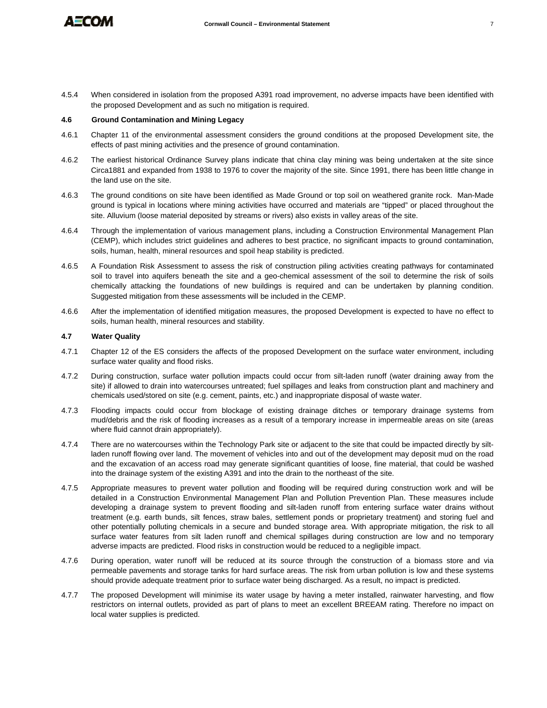

- 
- 4.5.4 When considered in isolation from the proposed A391 road improvement, no adverse impacts have been identified with the proposed Development and as such no mitigation is required.

#### **4.6 Ground Contamination and Mining Legacy**

- 4.6.1 Chapter 11 of the environmental assessment considers the ground conditions at the proposed Development site, the effects of past mining activities and the presence of ground contamination.
- 4.6.2 The earliest historical Ordinance Survey plans indicate that china clay mining was being undertaken at the site since Circa1881 and expanded from 1938 to 1976 to cover the majority of the site. Since 1991, there has been little change in the land use on the site.
- 4.6.3 The ground conditions on site have been identified as Made Ground or top soil on weathered granite rock. Man-Made ground is typical in locations where mining activities have occurred and materials are "tipped" or placed throughout the site. Alluvium (loose material deposited by streams or rivers) also exists in valley areas of the site.
- 4.6.4 Through the implementation of various management plans, including a Construction Environmental Management Plan (CEMP), which includes strict guidelines and adheres to best practice, no significant impacts to ground contamination, soils, human, health, mineral resources and spoil heap stability is predicted.
- 4.6.5 A Foundation Risk Assessment to assess the risk of construction piling activities creating pathways for contaminated soil to travel into aquifers beneath the site and a geo-chemical assessment of the soil to determine the risk of soils chemically attacking the foundations of new buildings is required and can be undertaken by planning condition. Suggested mitigation from these assessments will be included in the CEMP.
- 4.6.6 After the implementation of identified mitigation measures, the proposed Development is expected to have no effect to soils, human health, mineral resources and stability.

#### **4.7 Water Quality**

- 4.7.1 Chapter 12 of the ES considers the affects of the proposed Development on the surface water environment, including surface water quality and flood risks.
- 4.7.2 During construction, surface water pollution impacts could occur from silt-laden runoff (water draining away from the site) if allowed to drain into watercourses untreated; fuel spillages and leaks from construction plant and machinery and chemicals used/stored on site (e.g. cement, paints, etc.) and inappropriate disposal of waste water.
- 4.7.3 Flooding impacts could occur from blockage of existing drainage ditches or temporary drainage systems from mud/debris and the risk of flooding increases as a result of a temporary increase in impermeable areas on site (areas where fluid cannot drain appropriately).
- 4.7.4 There are no watercourses within the Technology Park site or adjacent to the site that could be impacted directly by siltladen runoff flowing over land. The movement of vehicles into and out of the development may deposit mud on the road and the excavation of an access road may generate significant quantities of loose, fine material, that could be washed into the drainage system of the existing A391 and into the drain to the northeast of the site.
- 4.7.5 Appropriate measures to prevent water pollution and flooding will be required during construction work and will be detailed in a Construction Environmental Management Plan and Pollution Prevention Plan. These measures include developing a drainage system to prevent flooding and silt-laden runoff from entering surface water drains without treatment (e.g. earth bunds, silt fences, straw bales, settlement ponds or proprietary treatment) and storing fuel and other potentially polluting chemicals in a secure and bunded storage area. With appropriate mitigation, the risk to all surface water features from silt laden runoff and chemical spillages during construction are low and no temporary adverse impacts are predicted. Flood risks in construction would be reduced to a negligible impact.
- 4.7.6 During operation, water runoff will be reduced at its source through the construction of a biomass store and via permeable pavements and storage tanks for hard surface areas. The risk from urban pollution is low and these systems should provide adequate treatment prior to surface water being discharged. As a result, no impact is predicted.
- 4.7.7 The proposed Development will minimise its water usage by having a meter installed, rainwater harvesting, and flow restrictors on internal outlets, provided as part of plans to meet an excellent BREEAM rating. Therefore no impact on local water supplies is predicted.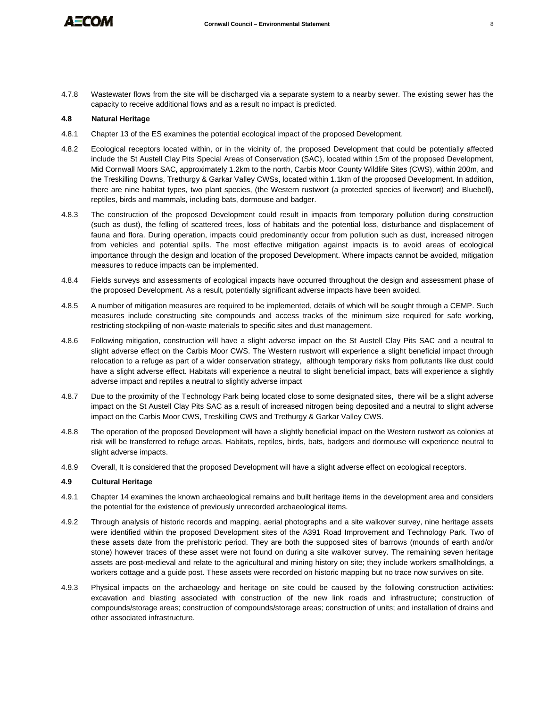

4.7.8 Wastewater flows from the site will be discharged via a separate system to a nearby sewer. The existing sewer has the capacity to receive additional flows and as a result no impact is predicted.

#### **4.8 Natural Heritage**

- 4.8.1 Chapter 13 of the ES examines the potential ecological impact of the proposed Development.
- 4.8.2 Ecological receptors located within, or in the vicinity of, the proposed Development that could be potentially affected include the St Austell Clay Pits Special Areas of Conservation (SAC), located within 15m of the proposed Development, Mid Cornwall Moors SAC, approximately 1.2km to the north, Carbis Moor County Wildlife Sites (CWS), within 200m, and the Treskilling Downs, Trethurgy & Garkar Valley CWSs, located within 1.1km of the proposed Development. In addition, there are nine habitat types, two plant species, (the Western rustwort (a protected species of liverwort) and Bluebell), reptiles, birds and mammals, including bats, dormouse and badger.
- 4.8.3 The construction of the proposed Development could result in impacts from temporary pollution during construction (such as dust), the felling of scattered trees, loss of habitats and the potential loss, disturbance and displacement of fauna and flora. During operation, impacts could predominantly occur from pollution such as dust, increased nitrogen from vehicles and potential spills. The most effective mitigation against impacts is to avoid areas of ecological importance through the design and location of the proposed Development. Where impacts cannot be avoided, mitigation measures to reduce impacts can be implemented.
- 4.8.4 Fields surveys and assessments of ecological impacts have occurred throughout the design and assessment phase of the proposed Development. As a result, potentially significant adverse impacts have been avoided.
- 4.8.5 A number of mitigation measures are required to be implemented, details of which will be sought through a CEMP. Such measures include constructing site compounds and access tracks of the minimum size required for safe working, restricting stockpiling of non-waste materials to specific sites and dust management.
- 4.8.6 Following mitigation, construction will have a slight adverse impact on the St Austell Clay Pits SAC and a neutral to slight adverse effect on the Carbis Moor CWS. The Western rustwort will experience a slight beneficial impact through relocation to a refuge as part of a wider conservation strategy, although temporary risks from pollutants like dust could have a slight adverse effect. Habitats will experience a neutral to slight beneficial impact, bats will experience a slightly adverse impact and reptiles a neutral to slightly adverse impact
- 4.8.7 Due to the proximity of the Technology Park being located close to some designated sites, there will be a slight adverse impact on the St Austell Clay Pits SAC as a result of increased nitrogen being deposited and a neutral to slight adverse impact on the Carbis Moor CWS, Treskilling CWS and Trethurgy & Garkar Valley CWS.
- 4.8.8 The operation of the proposed Development will have a slightly beneficial impact on the Western rustwort as colonies at risk will be transferred to refuge areas. Habitats, reptiles, birds, bats, badgers and dormouse will experience neutral to slight adverse impacts.
- 4.8.9 Overall, It is considered that the proposed Development will have a slight adverse effect on ecological receptors.

#### **4.9 Cultural Heritage**

- 4.9.1 Chapter 14 examines the known archaeological remains and built heritage items in the development area and considers the potential for the existence of previously unrecorded archaeological items.
- 4.9.2 Through analysis of historic records and mapping, aerial photographs and a site walkover survey, nine heritage assets were identified within the proposed Development sites of the A391 Road Improvement and Technology Park. Two of these assets date from the prehistoric period. They are both the supposed sites of barrows (mounds of earth and/or stone) however traces of these asset were not found on during a site walkover survey. The remaining seven heritage assets are post-medieval and relate to the agricultural and mining history on site; they include workers smallholdings, a workers cottage and a guide post. These assets were recorded on historic mapping but no trace now survives on site.
- 4.9.3 Physical impacts on the archaeology and heritage on site could be caused by the following construction activities: excavation and blasting associated with construction of the new link roads and infrastructure; construction of compounds/storage areas; construction of compounds/storage areas; construction of units; and installation of drains and other associated infrastructure.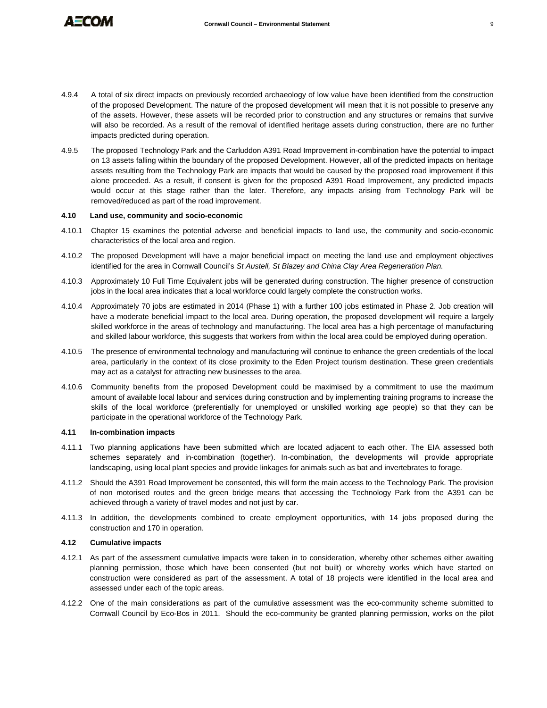

- 
- 4.9.4 A total of six direct impacts on previously recorded archaeology of low value have been identified from the construction of the proposed Development. The nature of the proposed development will mean that it is not possible to preserve any of the assets. However, these assets will be recorded prior to construction and any structures or remains that survive will also be recorded. As a result of the removal of identified heritage assets during construction, there are no further impacts predicted during operation.
- 4.9.5 The proposed Technology Park and the Carluddon A391 Road Improvement in-combination have the potential to impact on 13 assets falling within the boundary of the proposed Development. However, all of the predicted impacts on heritage assets resulting from the Technology Park are impacts that would be caused by the proposed road improvement if this alone proceeded. As a result, if consent is given for the proposed A391 Road Improvement, any predicted impacts would occur at this stage rather than the later. Therefore, any impacts arising from Technology Park will be removed/reduced as part of the road improvement.

#### **4.10 Land use, community and socio-economic**

- 4.10.1 Chapter 15 examines the potential adverse and beneficial impacts to land use, the community and socio-economic characteristics of the local area and region.
- 4.10.2 The proposed Development will have a major beneficial impact on meeting the land use and employment objectives identified for the area in Cornwall Council's *St Austell, St Blazey and China Clay Area Regeneration Plan.*
- 4.10.3 Approximately 10 Full Time Equivalent jobs will be generated during construction. The higher presence of construction jobs in the local area indicates that a local workforce could largely complete the construction works.
- 4.10.4 Approximately 70 jobs are estimated in 2014 (Phase 1) with a further 100 jobs estimated in Phase 2. Job creation will have a moderate beneficial impact to the local area. During operation, the proposed development will require a largely skilled workforce in the areas of technology and manufacturing. The local area has a high percentage of manufacturing and skilled labour workforce, this suggests that workers from within the local area could be employed during operation.
- 4.10.5 The presence of environmental technology and manufacturing will continue to enhance the green credentials of the local area, particularly in the context of its close proximity to the Eden Project tourism destination. These green credentials may act as a catalyst for attracting new businesses to the area.
- 4.10.6 Community benefits from the proposed Development could be maximised by a commitment to use the maximum amount of available local labour and services during construction and by implementing training programs to increase the skills of the local workforce (preferentially for unemployed or unskilled working age people) so that they can be participate in the operational workforce of the Technology Park.

#### **4.11 In-combination impacts**

- 4.11.1 Two planning applications have been submitted which are located adjacent to each other. The EIA assessed both schemes separately and in-combination (together). In-combination, the developments will provide appropriate landscaping, using local plant species and provide linkages for animals such as bat and invertebrates to forage.
- 4.11.2 Should the A391 Road Improvement be consented, this will form the main access to the Technology Park. The provision of non motorised routes and the green bridge means that accessing the Technology Park from the A391 can be achieved through a variety of travel modes and not just by car.
- 4.11.3 In addition, the developments combined to create employment opportunities, with 14 jobs proposed during the construction and 170 in operation.

#### **4.12 Cumulative impacts**

- 4.12.1 As part of the assessment cumulative impacts were taken in to consideration, whereby other schemes either awaiting planning permission, those which have been consented (but not built) or whereby works which have started on construction were considered as part of the assessment. A total of 18 projects were identified in the local area and assessed under each of the topic areas.
- 4.12.2 One of the main considerations as part of the cumulative assessment was the eco-community scheme submitted to Cornwall Council by Eco-Bos in 2011. Should the eco-community be granted planning permission, works on the pilot